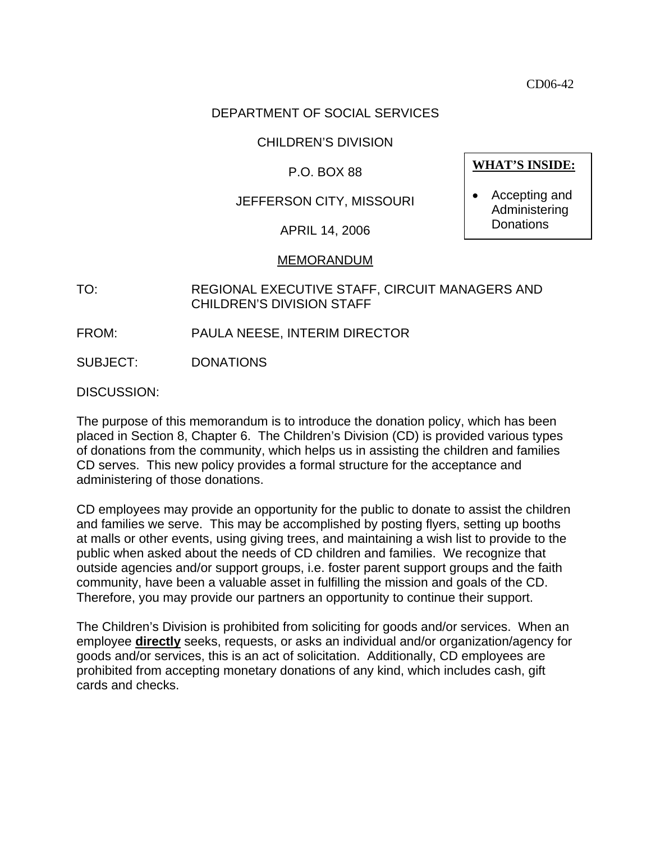CD06-42

# DEPARTMENT OF SOCIAL SERVICES

### CHILDREN'S DIVISION

### P.O. BOX 88

# JEFFERSON CITY, MISSOURI

APRIL 14, 2006

#### MEMORANDUM

- TO: REGIONAL EXECUTIVE STAFF, CIRCUIT MANAGERS AND CHILDREN'S DIVISION STAFF
- FROM: PAULA NEESE, INTERIM DIRECTOR

SUBJECT: DONATIONS

DISCUSSION:

The purpose of this memorandum is to introduce the donation policy, which has been placed in Section 8, Chapter 6. The Children's Division (CD) is provided various types of donations from the community, which helps us in assisting the children and families CD serves. This new policy provides a formal structure for the acceptance and administering of those donations.

CD employees may provide an opportunity for the public to donate to assist the children and families we serve. This may be accomplished by posting flyers, setting up booths at malls or other events, using giving trees, and maintaining a wish list to provide to the public when asked about the needs of CD children and families. We recognize that outside agencies and/or support groups, i.e. foster parent support groups and the faith community, have been a valuable asset in fulfilling the mission and goals of the CD. Therefore, you may provide our partners an opportunity to continue their support.

The Children's Division is prohibited from soliciting for goods and/or services. When an employee **directly** seeks, requests, or asks an individual and/or organization/agency for goods and/or services, this is an act of solicitation. Additionally, CD employees are prohibited from accepting monetary donations of any kind, which includes cash, gift cards and checks.

**WHAT'S INSIDE:**

• Accepting and Administering **Donations**